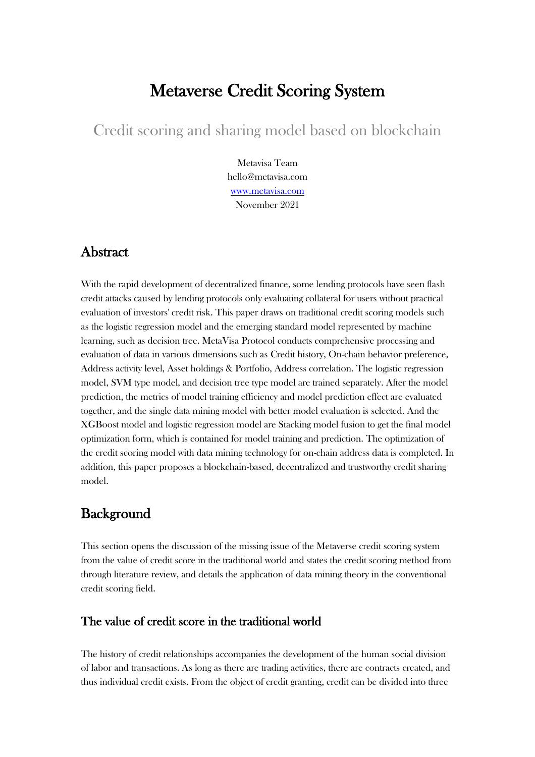# Metaverse Credit Scoring System

Credit scoring and sharing model based on blockchain

Metavisa Team hello@metavisa.com [www.metavisa.com](https://www.metavisa.com/) November 2021

# Abstract

With the rapid development of decentralized finance, some lending protocols have seen flash credit attacks caused by lending protocols only evaluating collateral for users without practical evaluation of investors' credit risk. This paper draws on traditional credit scoring models such as the logistic regression model and the emerging standard model represented by machine learning, such as decision tree. MetaVisa Protocol conducts comprehensive processing and evaluation of data in various dimensions such as Credit history, On-chain behavior preference, Address activity level, Asset holdings & Portfolio, Address correlation. The logistic regression model, SVM type model, and decision tree type model are trained separately. After the model prediction, the metrics of model training efficiency and model prediction effect are evaluated together, and the single data mining model with better model evaluation is selected. And the XGBoost model and logistic regression model are Stacking model fusion to get the final model optimization form, which is contained for model training and prediction. The optimization of the credit scoring model with data mining technology for on-chain address data is completed. In addition, this paper proposes a blockchain-based, decentralized and trustworthy credit sharing model.

# **Background**

This section opens the discussion of the missing issue of the Metaverse credit scoring system from the value of credit score in the traditional world and states the credit scoring method from through literature review, and details the application of data mining theory in the conventional credit scoring field.

# The value of credit score in the traditional world

The history of credit relationships accompanies the development of the human social division of labor and transactions. As long as there are trading activities, there are contracts created, and thus individual credit exists. From the object of credit granting, credit can be divided into three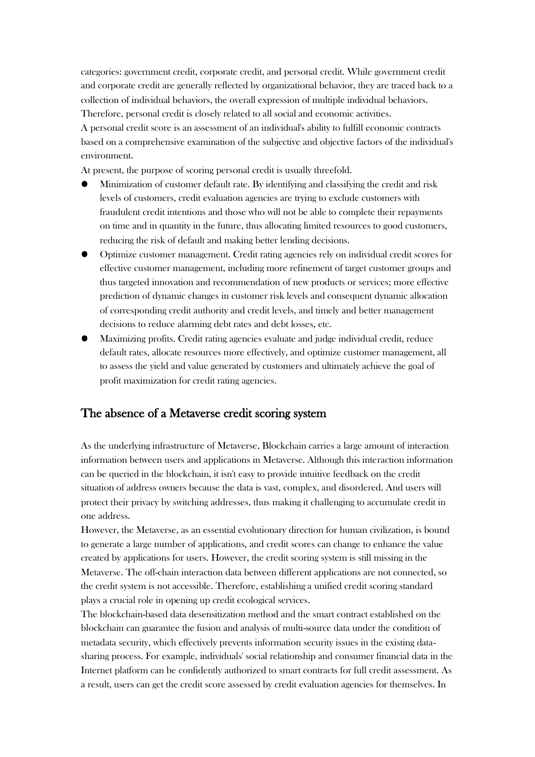categories: government credit, corporate credit, and personal credit. While government credit and corporate credit are generally reflected by organizational behavior, they are traced back to a collection of individual behaviors, the overall expression of multiple individual behaviors. Therefore, personal credit is closely related to all social and economic activities.

A personal credit score is an assessment of an individual's ability to fulfill economic contracts based on a comprehensive examination of the subjective and objective factors of the individual's environment.

At present, the purpose of scoring personal credit is usually threefold.

- Minimization of customer default rate. By identifying and classifying the credit and risk levels of customers, credit evaluation agencies are trying to exclude customers with fraudulent credit intentions and those who will not be able to complete their repayments on time and in quantity in the future, thus allocating limited resources to good customers, reducing the risk of default and making better lending decisions.
- Optimize customer management. Credit rating agencies rely on individual credit scores for effective customer management, including more refinement of target customer groups and thus targeted innovation and recommendation of new products or services; more effective prediction of dynamic changes in customer risk levels and consequent dynamic allocation of corresponding credit authority and credit levels, and timely and better management decisions to reduce alarming debt rates and debt losses, etc.
- Maximizing profits. Credit rating agencies evaluate and judge individual credit, reduce default rates, allocate resources more effectively, and optimize customer management, all to assess the yield and value generated by customers and ultimately achieve the goal of profit maximization for credit rating agencies.

## The absence of a Metaverse credit scoring system

As the underlying infrastructure of Metaverse, Blockchain carries a large amount of interaction information between users and applications in Metaverse. Although this interaction information can be queried in the blockchain, it isn't easy to provide intuitive feedback on the credit situation of address owners because the data is vast, complex, and disordered. And users will protect their privacy by switching addresses, thus making it challenging to accumulate credit in one address.

However, the Metaverse, as an essential evolutionary direction for human civilization, is bound to generate a large number of applications, and credit scores can change to enhance the value created by applications for users. However, the credit scoring system is still missing in the Metaverse. The off-chain interaction data between different applications are not connected, so the credit system is not accessible. Therefore, establishing a unified credit scoring standard plays a crucial role in opening up credit ecological services.

The blockchain-based data desensitization method and the smart contract established on the blockchain can guarantee the fusion and analysis of multi-source data under the condition of metadata security, which effectively prevents information security issues in the existing datasharing process. For example, individuals' social relationship and consumer financial data in the Internet platform can be confidently authorized to smart contracts for full credit assessment. As a result, users can get the credit score assessed by credit evaluation agencies for themselves. In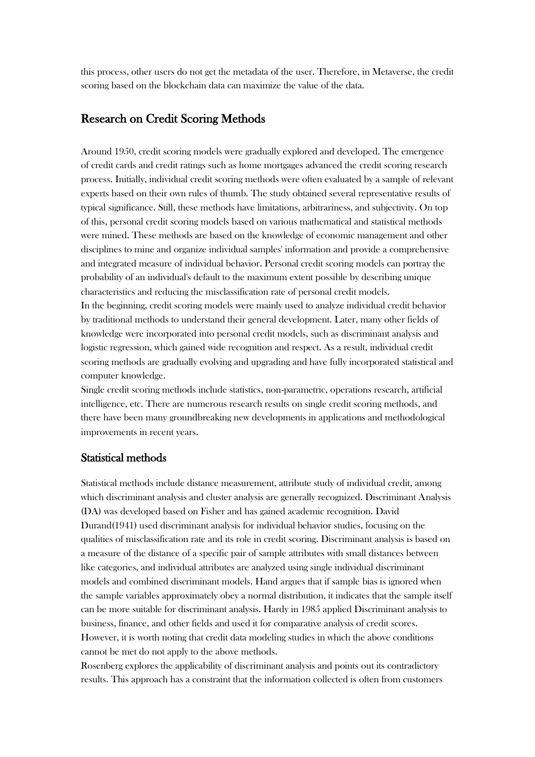this process, other users do not get the metadata of the user. Therefore, in Metaverse, the credit scoring based on the blockchain data can maximize the value of the data.

## Research on Credit Scoring Methods

Around 1950, credit scoring models were gradually explored and developed. The emergence of credit cards and credit ratings such as home mortgages advanced the credit scoring research process. Initially, individual credit scoring methods were often evaluated by a sample of relevant experts based on their own rules of thumb. The study obtained several representative results of typical significance. Still, these methods have limitations, arbitrariness, and subjectivity. On top of this, personal credit scoring models based on various mathematical and statistical methods were mined. These methods are based on the knowledge of economic management and other disciplines to mine and organize individual samples' information and provide a comprehensive and integrated measure of individual behavior. Personal credit scoring models can portray the probability of an individual's default to the maximum extent possible by describing unique characteristics and reducing the misclassification rate of personal credit models. In the beginning, credit scoring models were mainly used to analyze individual credit behavior by traditional methods to understand their general development. Later, many other fields of

knowledge were incorporated into personal credit models, such as discriminant analysis and logistic regression, which gained wide recognition and respect. As a result, individual credit scoring methods are gradually evolving and upgrading and have fully incorporated statistical and computer knowledge.

Single credit scoring methods include statistics, non-parametric, operations research, artificial intelligence, etc. There are numerous research results on single credit scoring methods, and there have been many groundbreaking new developments in applications and methodological improvements in recent years.

### Statistical methods

Statistical methods include distance measurement, attribute study of individual credit, among which discriminant analysis and cluster analysis are generally recognized. Discriminant Analysis (DA) was developed based on Fisher and has gained academic recognition. David Durand(1941) used discriminant analysis for individual behavior studies, focusing on the qualities of misclassification rate and its role in credit scoring. Discriminant analysis is based on a measure of the distance of a specific pair of sample attributes with small distances between like categories, and individual attributes are analyzed using single individual discriminant models and combined discriminant models. Hand argues that if sample bias is ignored when the sample variables approximately obey a normal distribution, it indicates that the sample itself can be more suitable for discriminant analysis. Hardy in 1985 applied Discriminant analysis to business, finance, and other fields and used it for comparative analysis of credit scores. However, it is worth noting that credit data modeling studies in which the above conditions cannot be met do not apply to the above methods.

Rosenberg explores the applicability of discriminant analysis and points out its contradictory results. This approach has a constraint that the information collected is often from customers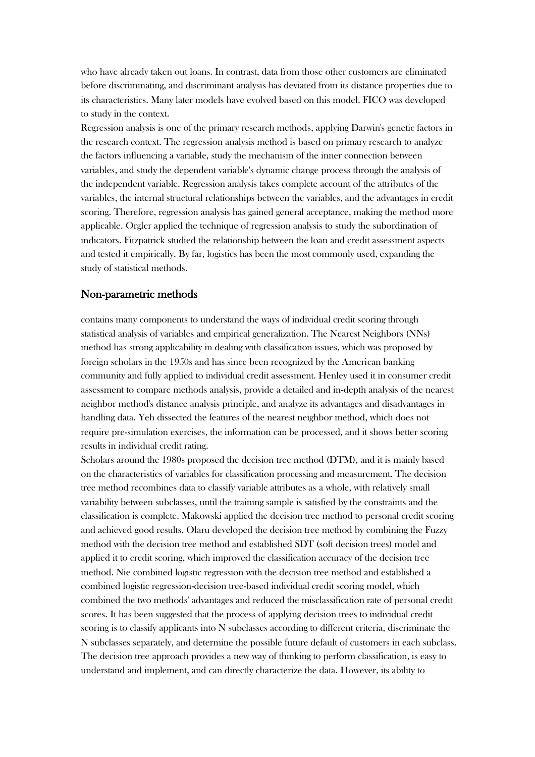who have already taken out loans. In contrast, data from those other customers are eliminated before discriminating, and discriminant analysis has deviated from its distance properties due to its characteristics. Many later models have evolved based on this model. FICO was developed to study in the context.

Regression analysis is one of the primary research methods, applying Darwin's genetic factors in the research context. The regression analysis method is based on primary research to analyze the factors influencing a variable, study the mechanism of the inner connection between variables, and study the dependent variable's dynamic change process through the analysis of the independent variable. Regression analysis takes complete account of the attributes of the variables, the internal structural relationships between the variables, and the advantages in credit scoring. Therefore, regression analysis has gained general acceptance, making the method more applicable. Orgler applied the technique of regression analysis to study the subordination of indicators. Fitzpatrick studied the relationship between the loan and credit assessment aspects and tested it empirically. By far, logistics has been the most commonly used, expanding the study of statistical methods.

#### Non-parametric methods

contains many components to understand the ways of individual credit scoring through statistical analysis of variables and empirical generalization. The Nearest Neighbors (NNs) method has strong applicability in dealing with classification issues, which was proposed by foreign scholars in the 1950s and has since been recognized by the American banking community and fully applied to individual credit assessment. Henley used it in consumer credit assessment to compare methods analysis, provide a detailed and in-depth analysis of the nearest neighbor method's distance analysis principle, and analyze its advantages and disadvantages in handling data. Yeh dissected the features of the nearest neighbor method, which does not require pre-simulation exercises, the information can be processed, and it shows better scoring results in individual credit rating.

Scholars around the 1980s proposed the decision tree method (DTM), and it is mainly based on the characteristics of variables for classification processing and measurement. The decision tree method recombines data to classify variable attributes as a whole, with relatively small variability between subclasses, until the training sample is satisfied by the constraints and the classification is complete. Makowski applied the decision tree method to personal credit scoring and achieved good results. Olaru developed the decision tree method by combining the Fuzzy method with the decision tree method and established SDT (soft decision trees) model and applied it to credit scoring, which improved the classification accuracy of the decision tree method. Nie combined logistic regression with the decision tree method and established a combined logistic regression-decision tree-based individual credit scoring model, which combined the two methods' advantages and reduced the misclassification rate of personal credit scores. It has been suggested that the process of applying decision trees to individual credit scoring is to classify applicants into N subclasses according to different criteria, discriminate the N subclasses separately, and determine the possible future default of customers in each subclass. The decision tree approach provides a new way of thinking to perform classification, is easy to understand and implement, and can directly characterize the data. However, its ability to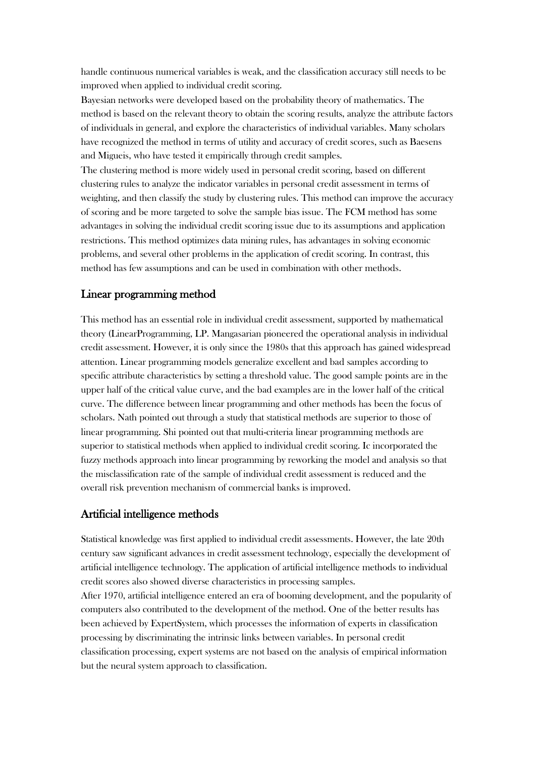handle continuous numerical variables is weak, and the classification accuracy still needs to be improved when applied to individual credit scoring.

Bayesian networks were developed based on the probability theory of mathematics. The method is based on the relevant theory to obtain the scoring results, analyze the attribute factors of individuals in general, and explore the characteristics of individual variables. Many scholars have recognized the method in terms of utility and accuracy of credit scores, such as Baesens and Migueis, who have tested it empirically through credit samples.

The clustering method is more widely used in personal credit scoring, based on different clustering rules to analyze the indicator variables in personal credit assessment in terms of weighting, and then classify the study by clustering rules. This method can improve the accuracy of scoring and be more targeted to solve the sample bias issue. The FCM method has some advantages in solving the individual credit scoring issue due to its assumptions and application restrictions. This method optimizes data mining rules, has advantages in solving economic problems, and several other problems in the application of credit scoring. In contrast, this method has few assumptions and can be used in combination with other methods.

### Linear programming method

This method has an essential role in individual credit assessment, supported by mathematical theory (LinearProgramming, LP. Mangasarian pioneered the operational analysis in individual credit assessment. However, it is only since the 1980s that this approach has gained widespread attention. Linear programming models generalize excellent and bad samples according to specific attribute characteristics by setting a threshold value. The good sample points are in the upper half of the critical value curve, and the bad examples are in the lower half of the critical curve. The difference between linear programming and other methods has been the focus of scholars. Nath pointed out through a study that statistical methods are superior to those of linear programming. Shi pointed out that multi-criteria linear programming methods are superior to statistical methods when applied to individual credit scoring. Ic incorporated the fuzzy methods approach into linear programming by reworking the model and analysis so that the misclassification rate of the sample of individual credit assessment is reduced and the overall risk prevention mechanism of commercial banks is improved.

#### Artificial intelligence methods

Statistical knowledge was first applied to individual credit assessments. However, the late 20th century saw significant advances in credit assessment technology, especially the development of artificial intelligence technology. The application of artificial intelligence methods to individual credit scores also showed diverse characteristics in processing samples.

After 1970, artificial intelligence entered an era of booming development, and the popularity of computers also contributed to the development of the method. One of the better results has been achieved by ExpertSystem, which processes the information of experts in classification processing by discriminating the intrinsic links between variables. In personal credit classification processing, expert systems are not based on the analysis of empirical information but the neural system approach to classification.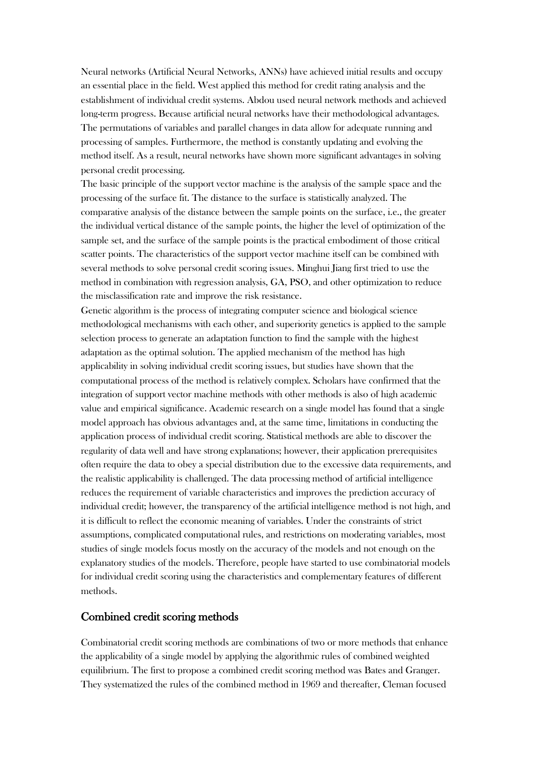Neural networks (Artificial Neural Networks, ANNs) have achieved initial results and occupy an essential place in the field. West applied this method for credit rating analysis and the establishment of individual credit systems. Abdou used neural network methods and achieved long-term progress. Because artificial neural networks have their methodological advantages. The permutations of variables and parallel changes in data allow for adequate running and processing of samples. Furthermore, the method is constantly updating and evolving the method itself. As a result, neural networks have shown more significant advantages in solving personal credit processing.

The basic principle of the support vector machine is the analysis of the sample space and the processing of the surface fit. The distance to the surface is statistically analyzed. The comparative analysis of the distance between the sample points on the surface, i.e., the greater the individual vertical distance of the sample points, the higher the level of optimization of the sample set, and the surface of the sample points is the practical embodiment of those critical scatter points. The characteristics of the support vector machine itself can be combined with several methods to solve personal credit scoring issues. Minghui Jiang first tried to use the method in combination with regression analysis, GA, PSO, and other optimization to reduce the misclassification rate and improve the risk resistance.

Genetic algorithm is the process of integrating computer science and biological science methodological mechanisms with each other, and superiority genetics is applied to the sample selection process to generate an adaptation function to find the sample with the highest adaptation as the optimal solution. The applied mechanism of the method has high applicability in solving individual credit scoring issues, but studies have shown that the computational process of the method is relatively complex. Scholars have confirmed that the integration of support vector machine methods with other methods is also of high academic value and empirical significance. Academic research on a single model has found that a single model approach has obvious advantages and, at the same time, limitations in conducting the application process of individual credit scoring. Statistical methods are able to discover the regularity of data well and have strong explanations; however, their application prerequisites often require the data to obey a special distribution due to the excessive data requirements, and the realistic applicability is challenged. The data processing method of artificial intelligence reduces the requirement of variable characteristics and improves the prediction accuracy of individual credit; however, the transparency of the artificial intelligence method is not high, and it is difficult to reflect the economic meaning of variables. Under the constraints of strict assumptions, complicated computational rules, and restrictions on moderating variables, most studies of single models focus mostly on the accuracy of the models and not enough on the explanatory studies of the models. Therefore, people have started to use combinatorial models for individual credit scoring using the characteristics and complementary features of different methods.

### Combined credit scoring methods

Combinatorial credit scoring methods are combinations of two or more methods that enhance the applicability of a single model by applying the algorithmic rules of combined weighted equilibrium. The first to propose a combined credit scoring method was Bates and Granger. They systematized the rules of the combined method in 1969 and thereafter, Cleman focused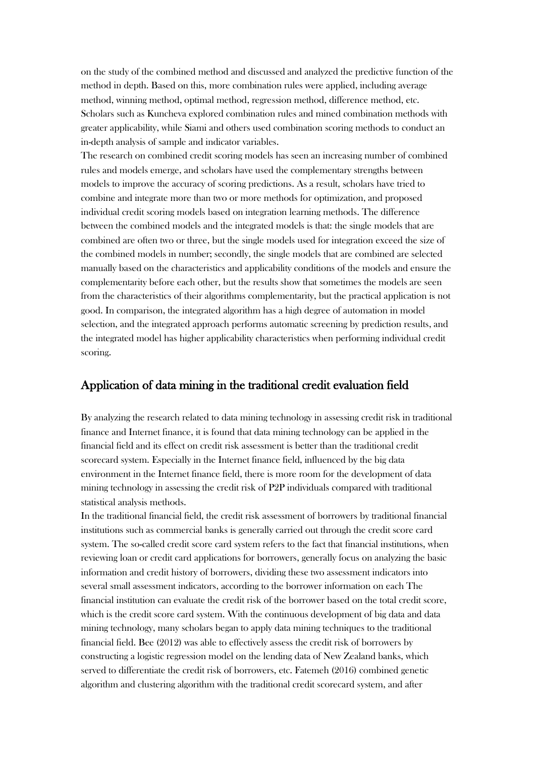on the study of the combined method and discussed and analyzed the predictive function of the method in depth. Based on this, more combination rules were applied, including average method, winning method, optimal method, regression method, difference method, etc. Scholars such as Kuncheva explored combination rules and mined combination methods with greater applicability, while Siami and others used combination scoring methods to conduct an in-depth analysis of sample and indicator variables.

The research on combined credit scoring models has seen an increasing number of combined rules and models emerge, and scholars have used the complementary strengths between models to improve the accuracy of scoring predictions. As a result, scholars have tried to combine and integrate more than two or more methods for optimization, and proposed individual credit scoring models based on integration learning methods. The difference between the combined models and the integrated models is that: the single models that are combined are often two or three, but the single models used for integration exceed the size of the combined models in number; secondly, the single models that are combined are selected manually based on the characteristics and applicability conditions of the models and ensure the complementarity before each other, but the results show that sometimes the models are seen from the characteristics of their algorithms complementarity, but the practical application is not good. In comparison, the integrated algorithm has a high degree of automation in model selection, and the integrated approach performs automatic screening by prediction results, and the integrated model has higher applicability characteristics when performing individual credit scoring.

# Application of data mining in the traditional credit evaluation field

By analyzing the research related to data mining technology in assessing credit risk in traditional finance and Internet finance, it is found that data mining technology can be applied in the financial field and its effect on credit risk assessment is better than the traditional credit scorecard system. Especially in the Internet finance field, influenced by the big data environment in the Internet finance field, there is more room for the development of data mining technology in assessing the credit risk of P2P individuals compared with traditional statistical analysis methods.

In the traditional financial field, the credit risk assessment of borrowers by traditional financial institutions such as commercial banks is generally carried out through the credit score card system. The so-called credit score card system refers to the fact that financial institutions, when reviewing loan or credit card applications for borrowers, generally focus on analyzing the basic information and credit history of borrowers, dividing these two assessment indicators into several small assessment indicators, according to the borrower information on each The financial institution can evaluate the credit risk of the borrower based on the total credit score, which is the credit score card system. With the continuous development of big data and data mining technology, many scholars began to apply data mining techniques to the traditional financial field. Bee (2012) was able to effectively assess the credit risk of borrowers by constructing a logistic regression model on the lending data of New Zealand banks, which served to differentiate the credit risk of borrowers, etc. Fatemeh (2016) combined genetic algorithm and clustering algorithm with the traditional credit scorecard system, and after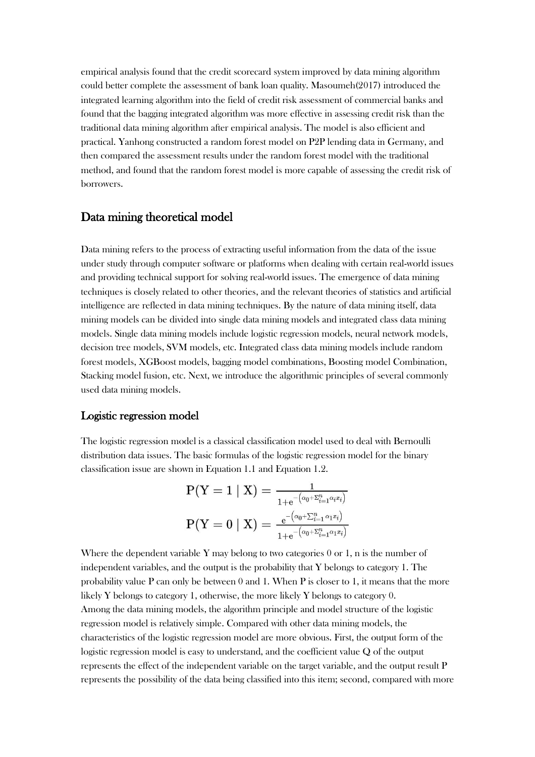empirical analysis found that the credit scorecard system improved by data mining algorithm could better complete the assessment of bank loan quality. Masoumeh(2017) introduced the integrated learning algorithm into the field of credit risk assessment of commercial banks and found that the bagging integrated algorithm was more effective in assessing credit risk than the traditional data mining algorithm after empirical analysis. The model is also efficient and practical. Yanhong constructed a random forest model on P2P lending data in Germany, and then compared the assessment results under the random forest model with the traditional method, and found that the random forest model is more capable of assessing the credit risk of borrowers.

### Data mining theoretical model

Data mining refers to the process of extracting useful information from the data of the issue under study through computer software or platforms when dealing with certain real-world issues and providing technical support for solving real-world issues. The emergence of data mining techniques is closely related to other theories, and the relevant theories of statistics and artificial intelligence are reflected in data mining techniques. By the nature of data mining itself, data mining models can be divided into single data mining models and integrated class data mining models. Single data mining models include logistic regression models, neural network models, decision tree models, SVM models, etc. Integrated class data mining models include random forest models, XGBoost models, bagging model combinations, Boosting model Combination, Stacking model fusion, etc. Next, we introduce the algorithmic principles of several commonly used data mining models.

#### Logistic regression model

The logistic regression model is a classical classification model used to deal with Bernoulli distribution data issues. The basic formulas of the logistic regression model for the binary classification issue are shown in Equation 1.1 and Equation 1.2.

$$
\begin{aligned} \text{P(Y = 1 | X)} = \frac{1}{1+\mathrm{e}^{-\left(\alpha_0+\Sigma_{i=1}^n\alpha_i x_i\right)}} \\ \text{P(Y = 0 | X)} = \frac{\mathrm{e}^{-\left(\alpha_0+\Sigma_{i=1}^n\alpha_1 x_i\right)}}{1+\mathrm{e}^{-\left(\alpha_0+\Sigma_{i=1}^n\alpha_1 x_i\right)}} \end{aligned}
$$

Where the dependent variable Y may belong to two categories  $0$  or 1, n is the number of independent variables, and the output is the probability that Y belongs to category 1. The probability value P can only be between 0 and 1. When P is closer to 1, it means that the more likely Y belongs to category 1, otherwise, the more likely Y belongs to category 0. Among the data mining models, the algorithm principle and model structure of the logistic regression model is relatively simple. Compared with other data mining models, the characteristics of the logistic regression model are more obvious. First, the output form of the logistic regression model is easy to understand, and the coefficient value Q of the output represents the effect of the independent variable on the target variable, and the output result P represents the possibility of the data being classified into this item; second, compared with more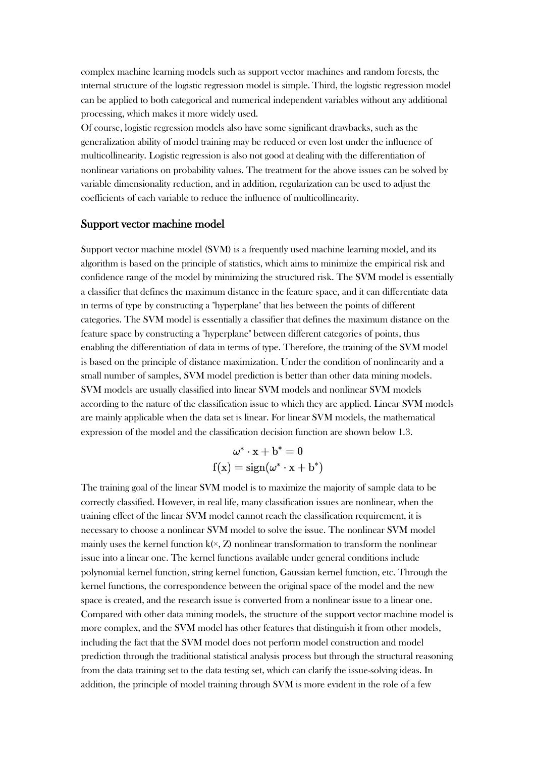complex machine learning models such as support vector machines and random forests, the internal structure of the logistic regression model is simple. Third, the logistic regression model can be applied to both categorical and numerical independent variables without any additional processing, which makes it more widely used.

Of course, logistic regression models also have some significant drawbacks, such as the generalization ability of model training may be reduced or even lost under the influence of multicollinearity. Logistic regression is also not good at dealing with the differentiation of nonlinear variations on probability values. The treatment for the above issues can be solved by variable dimensionality reduction, and in addition, regularization can be used to adjust the coefficients of each variable to reduce the influence of multicollinearity.

#### Support vector machine model

Support vector machine model (SVM) is a frequently used machine learning model, and its algorithm is based on the principle of statistics, which aims to minimize the empirical risk and confidence range of the model by minimizing the structured risk. The SVM model is essentially a classifier that defines the maximum distance in the feature space, and it can differentiate data in terms of type by constructing a "hyperplane" that lies between the points of different categories. The SVM model is essentially a classifier that defines the maximum distance on the feature space by constructing a "hyperplane" between different categories of points, thus enabling the differentiation of data in terms of type. Therefore, the training of the SVM model is based on the principle of distance maximization. Under the condition of nonlinearity and a small number of samples, SVM model prediction is better than other data mining models. SVM models are usually classified into linear SVM models and nonlinear SVM models according to the nature of the classification issue to which they are applied. Linear SVM models are mainly applicable when the data set is linear. For linear SVM models, the mathematical expression of the model and the classification decision function are shown below 1.3.

$$
\omega^*\cdot \mathrm{x}+\mathrm{b}^* = 0 \\ \mathrm{f}(\mathrm{x}) = \mathrm{sign}(\omega^*\cdot \mathrm{x}+\mathrm{b}^*)
$$

The training goal of the linear SVM model is to maximize the majority of sample data to be correctly classified. However, in real life, many classification issues are nonlinear, when the training effect of the linear SVM model cannot reach the classification requirement, it is necessary to choose a nonlinear SVM model to solve the issue. The nonlinear SVM model mainly uses the kernel function  $k(x, Z)$  nonlinear transformation to transform the nonlinear issue into a linear one. The kernel functions available under general conditions include polynomial kernel function, string kernel function, Gaussian kernel function, etc. Through the kernel functions, the correspondence between the original space of the model and the new space is created, and the research issue is converted from a nonlinear issue to a linear one. Compared with other data mining models, the structure of the support vector machine model is more complex, and the SVM model has other features that distinguish it from other models, including the fact that the SVM model does not perform model construction and model prediction through the traditional statistical analysis process but through the structural reasoning from the data training set to the data testing set, which can clarify the issue-solving ideas. In addition, the principle of model training through SVM is more evident in the role of a few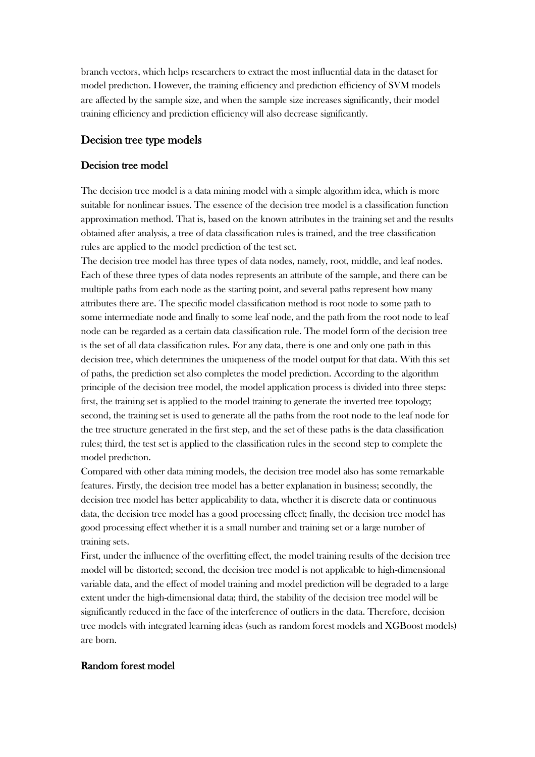branch vectors, which helps researchers to extract the most influential data in the dataset for model prediction. However, the training efficiency and prediction efficiency of SVM models are affected by the sample size, and when the sample size increases significantly, their model training efficiency and prediction efficiency will also decrease significantly.

### Decision tree type models

#### Decision tree model

The decision tree model is a data mining model with a simple algorithm idea, which is more suitable for nonlinear issues. The essence of the decision tree model is a classification function approximation method. That is, based on the known attributes in the training set and the results obtained after analysis, a tree of data classification rules is trained, and the tree classification rules are applied to the model prediction of the test set.

The decision tree model has three types of data nodes, namely, root, middle, and leaf nodes. Each of these three types of data nodes represents an attribute of the sample, and there can be multiple paths from each node as the starting point, and several paths represent how many attributes there are. The specific model classification method is root node to some path to some intermediate node and finally to some leaf node, and the path from the root node to leaf node can be regarded as a certain data classification rule. The model form of the decision tree is the set of all data classification rules. For any data, there is one and only one path in this decision tree, which determines the uniqueness of the model output for that data. With this set of paths, the prediction set also completes the model prediction. According to the algorithm principle of the decision tree model, the model application process is divided into three steps: first, the training set is applied to the model training to generate the inverted tree topology; second, the training set is used to generate all the paths from the root node to the leaf node for the tree structure generated in the first step, and the set of these paths is the data classification rules; third, the test set is applied to the classification rules in the second step to complete the model prediction.

Compared with other data mining models, the decision tree model also has some remarkable features. Firstly, the decision tree model has a better explanation in business; secondly, the decision tree model has better applicability to data, whether it is discrete data or continuous data, the decision tree model has a good processing effect; finally, the decision tree model has good processing effect whether it is a small number and training set or a large number of training sets.

First, under the influence of the overfitting effect, the model training results of the decision tree model will be distorted; second, the decision tree model is not applicable to high-dimensional variable data, and the effect of model training and model prediction will be degraded to a large extent under the high-dimensional data; third, the stability of the decision tree model will be significantly reduced in the face of the interference of outliers in the data. Therefore, decision tree models with integrated learning ideas (such as random forest models and XGBoost models) are born.

### Random forest model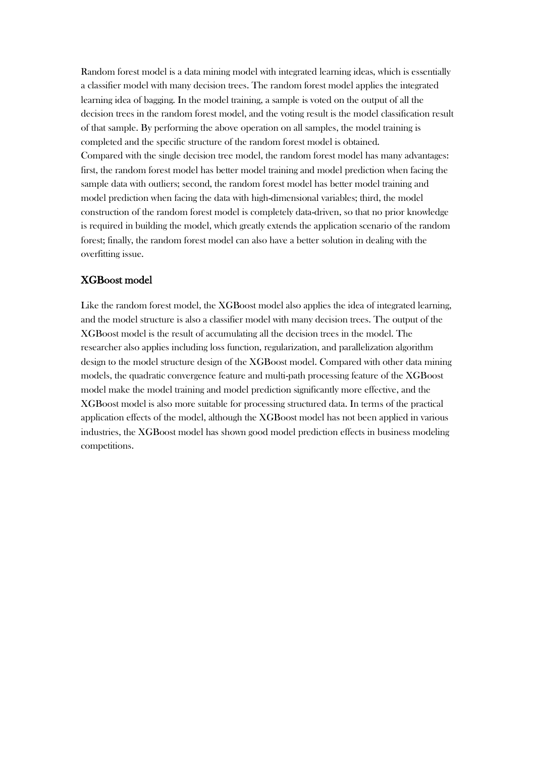Random forest model is a data mining model with integrated learning ideas, which is essentially a classifier model with many decision trees. The random forest model applies the integrated learning idea of bagging. In the model training, a sample is voted on the output of all the decision trees in the random forest model, and the voting result is the model classification result of that sample. By performing the above operation on all samples, the model training is completed and the specific structure of the random forest model is obtained. Compared with the single decision tree model, the random forest model has many advantages: first, the random forest model has better model training and model prediction when facing the sample data with outliers; second, the random forest model has better model training and model prediction when facing the data with high-dimensional variables; third, the model construction of the random forest model is completely data-driven, so that no prior knowledge is required in building the model, which greatly extends the application scenario of the random forest; finally, the random forest model can also have a better solution in dealing with the overfitting issue.

#### XGBoost model

Like the random forest model, the XGBoost model also applies the idea of integrated learning, and the model structure is also a classifier model with many decision trees. The output of the XGBoost model is the result of accumulating all the decision trees in the model. The researcher also applies including loss function, regularization, and parallelization algorithm design to the model structure design of the XGBoost model. Compared with other data mining models, the quadratic convergence feature and multi-path processing feature of the XGBoost model make the model training and model prediction significantly more effective, and the XGBoost model is also more suitable for processing structured data. In terms of the practical application effects of the model, although the XGBoost model has not been applied in various industries, the XGBoost model has shown good model prediction effects in business modeling competitions.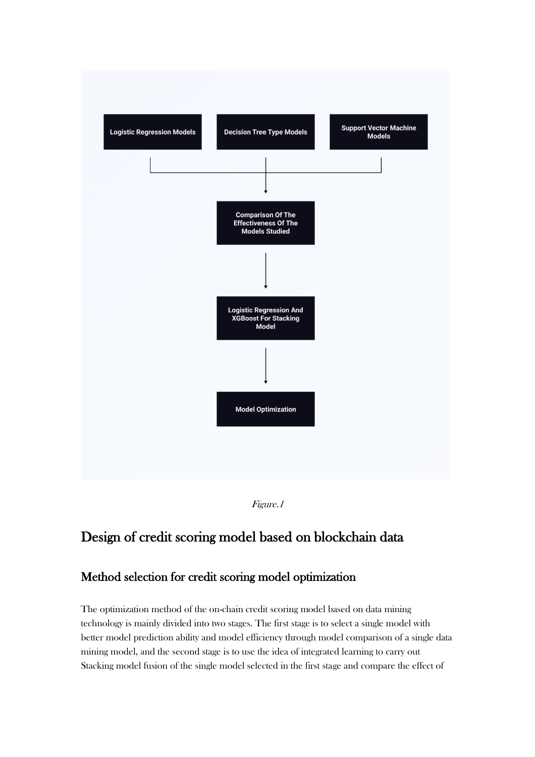



# Design of credit scoring model based on blockchain data

# Method selection for credit scoring model optimization

The optimization method of the on-chain credit scoring model based on data mining technology is mainly divided into two stages. The first stage is to select a single model with better model prediction ability and model efficiency through model comparison of a single data mining model, and the second stage is to use the idea of integrated learning to carry out Stacking model fusion of the single model selected in the first stage and compare the effect of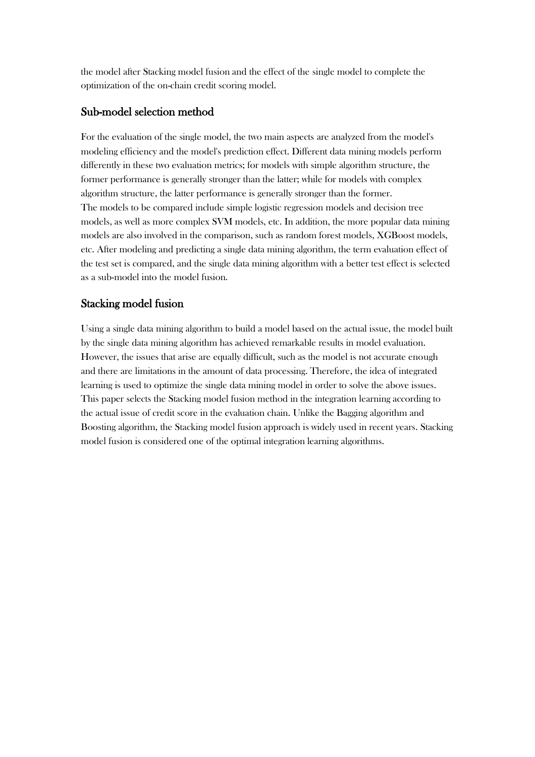the model after Stacking model fusion and the effect of the single model to complete the optimization of the on-chain credit scoring model.

# Sub-model selection method

For the evaluation of the single model, the two main aspects are analyzed from the model's modeling efficiency and the model's prediction effect. Different data mining models perform differently in these two evaluation metrics; for models with simple algorithm structure, the former performance is generally stronger than the latter; while for models with complex algorithm structure, the latter performance is generally stronger than the former. The models to be compared include simple logistic regression models and decision tree models, as well as more complex SVM models, etc. In addition, the more popular data mining models are also involved in the comparison, such as random forest models, XGBoost models, etc. After modeling and predicting a single data mining algorithm, the term evaluation effect of the test set is compared, and the single data mining algorithm with a better test effect is selected as a sub-model into the model fusion.

# Stacking model fusion

Using a single data mining algorithm to build a model based on the actual issue, the model built by the single data mining algorithm has achieved remarkable results in model evaluation. However, the issues that arise are equally difficult, such as the model is not accurate enough and there are limitations in the amount of data processing. Therefore, the idea of integrated learning is used to optimize the single data mining model in order to solve the above issues. This paper selects the Stacking model fusion method in the integration learning according to the actual issue of credit score in the evaluation chain. Unlike the Bagging algorithm and Boosting algorithm, the Stacking model fusion approach is widely used in recent years. Stacking model fusion is considered one of the optimal integration learning algorithms.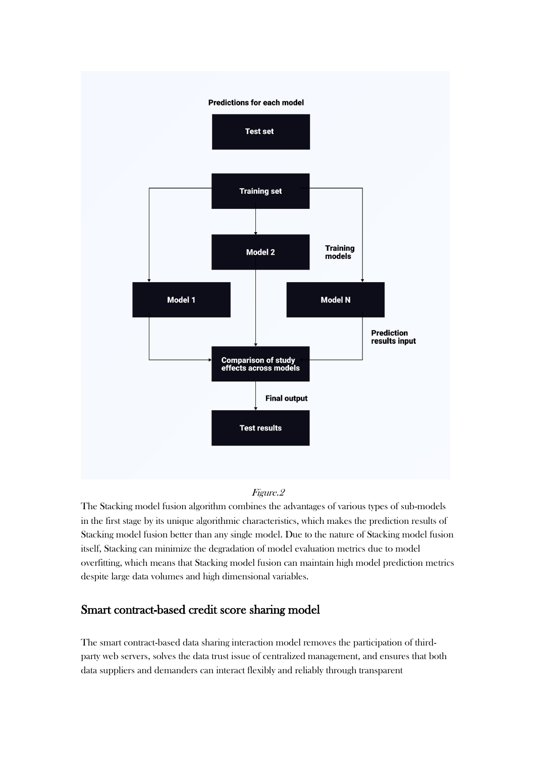

### Figure.2

The Stacking model fusion algorithm combines the advantages of various types of sub-models in the first stage by its unique algorithmic characteristics, which makes the prediction results of Stacking model fusion better than any single model. Due to the nature of Stacking model fusion itself, Stacking can minimize the degradation of model evaluation metrics due to model overfitting, which means that Stacking model fusion can maintain high model prediction metrics despite large data volumes and high dimensional variables.

# Smart contract-based credit score sharing model

The smart contract-based data sharing interaction model removes the participation of thirdparty web servers, solves the data trust issue of centralized management, and ensures that both data suppliers and demanders can interact flexibly and reliably through transparent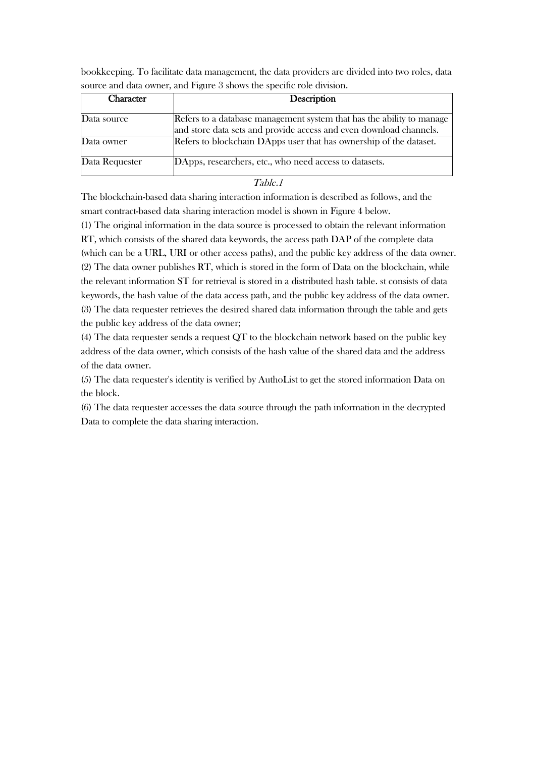| <b>Character</b> | Description                                                                                                                                 |
|------------------|---------------------------------------------------------------------------------------------------------------------------------------------|
| Data source      | Refers to a database management system that has the ability to manage<br>and store data sets and provide access and even download channels. |
| Data owner       | Refers to blockchain DApps user that has ownership of the dataset.                                                                          |
| Data Requester   | DApps, researchers, etc., who need access to datasets.                                                                                      |

bookkeeping. To facilitate data management, the data providers are divided into two roles, data source and data owner, and Figure 3 shows the specific role division.

Table.1

The blockchain-based data sharing interaction information is described as follows, and the smart contract-based data sharing interaction model is shown in Figure 4 below.

(1) The original information in the data source is processed to obtain the relevant information RT, which consists of the shared data keywords, the access path DAP of the complete data (which can be a URL, URI or other access paths), and the public key address of the data owner. (2) The data owner publishes RT, which is stored in the form of Data on the blockchain, while the relevant information ST for retrieval is stored in a distributed hash table. st consists of data keywords, the hash value of the data access path, and the public key address of the data owner. (3) The data requester retrieves the desired shared data information through the table and gets the public key address of the data owner;

(4) The data requester sends a request QT to the blockchain network based on the public key address of the data owner, which consists of the hash value of the shared data and the address of the data owner.

(5) The data requester's identity is verified by AuthoList to get the stored information Data on the block.

(6) The data requester accesses the data source through the path information in the decrypted Data to complete the data sharing interaction.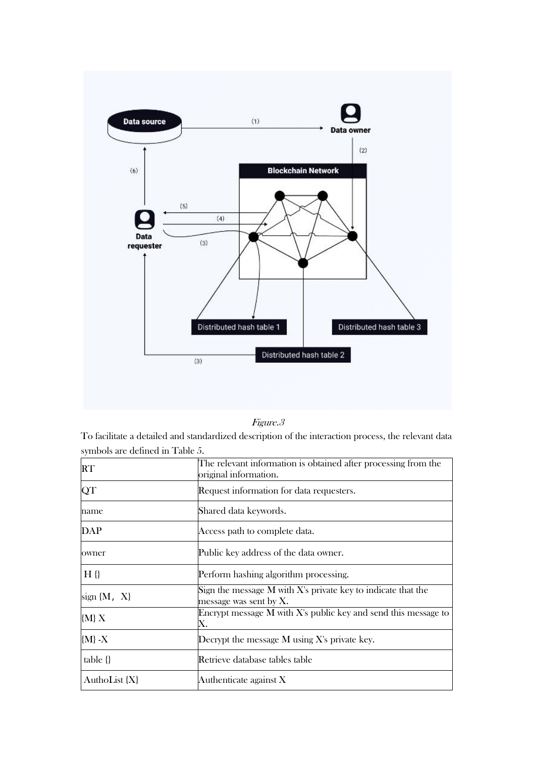

| 777<br>د ن |  |
|------------|--|
|            |  |

To facilitate a detailed and standardized description of the interaction process, the relevant data symbols are defined in Table 5.

| <b>RT</b>       | The relevant information is obtained after processing from the<br>original information.      |  |
|-----------------|----------------------------------------------------------------------------------------------|--|
| QT              | Request information for data requesters.                                                     |  |
| name            | Shared data keywords.                                                                        |  |
| <b>DAP</b>      | Access path to complete data.                                                                |  |
| owner           | Public key address of the data owner.                                                        |  |
| $H \{$          | Perform hashing algorithm processing.                                                        |  |
| sign $\{M, X\}$ | Sign the message M with $X$ 's private key to indicate that the<br>message was sent by $X$ . |  |
| ${M}X$          | Encrypt message $M$ with $X$ 's public key and send this message to<br>Х.                    |  |
| ${M}$ -X        | Decrypt the message M using X's private key.                                                 |  |
| $table \{\}$    | Retrieve database tables table                                                               |  |
| AuthoList {X}   | Authenticate against $X$                                                                     |  |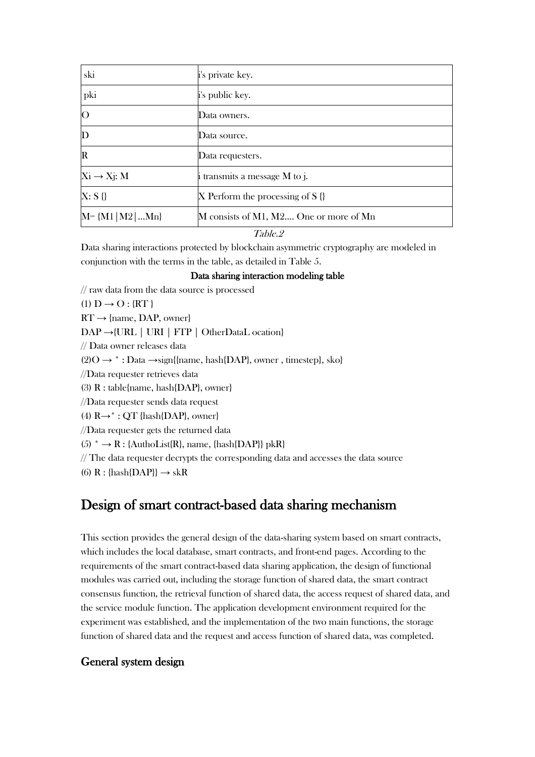| ski                      | i's private key.                       |  |  |
|--------------------------|----------------------------------------|--|--|
| pki                      | i's public key.                        |  |  |
| $\overline{O}$           | Data owners.                           |  |  |
| $\mathbf D$              | Data source.                           |  |  |
| $\mathbf R$              | Data requesters.                       |  |  |
| $X_i \rightarrow X_j: M$ | $\mu$ i transmits a message M to j.    |  |  |
| X: S <sub>0</sub>        | X Perform the processing of S $\{\}$   |  |  |
| $M = {M1   M2    Mn}$    | M consists of M1, M2 One or more of Mn |  |  |
|                          | $\pi$ ii $\alpha$                      |  |  |

#### Table.2

Data sharing interactions protected by blockchain asymmetric cryptography are modeled in conjunction with the terms in the table, as detailed in Table 5.

#### Data sharing interaction modeling table

// raw data from the data source is processed  $(1) D \rightarrow O : \{ RT \}$  $RT \rightarrow \{name, DAP, owner\}$ DAP →{URL | URI | FTP | OtherDataL ocation} // Data owner releases data  $(2)O \rightarrow$  \*: Data  $\rightarrow$ sign{{name, hash{DAP}, owner, timestep}, sko} //Data requester retrieves data (3) R : table{name, hash{DAP}, owner} //Data requester sends data request (4)  $R \rightarrow^*$ : QT {hash{DAP}, owner} //Data requester gets the returned data  $(5)$  \*  $\rightarrow$  R : {AuthoList{R}, name, {hash{DAP}} pkR} // The data requester decrypts the corresponding data and accesses the data source (6)  $R : \{hash{DAP}\} \rightarrow skR$ 

# Design of smart contract-based data sharing mechanism

This section provides the general design of the data-sharing system based on smart contracts, which includes the local database, smart contracts, and front-end pages. According to the requirements of the smart contract-based data sharing application, the design of functional modules was carried out, including the storage function of shared data, the smart contract consensus function, the retrieval function of shared data, the access request of shared data, and the service module function. The application development environment required for the experiment was established, and the implementation of the two main functions, the storage function of shared data and the request and access function of shared data, was completed.

## General system design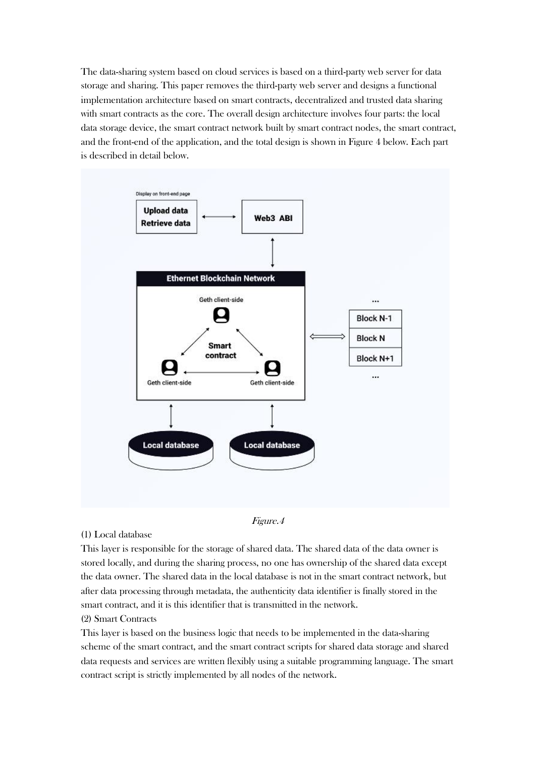The data-sharing system based on cloud services is based on a third-party web server for data storage and sharing. This paper removes the third-party web server and designs a functional implementation architecture based on smart contracts, decentralized and trusted data sharing with smart contracts as the core. The overall design architecture involves four parts: the local data storage device, the smart contract network built by smart contract nodes, the smart contract, and the front-end of the application, and the total design is shown in Figure 4 below. Each part is described in detail below.





#### (1) Local database

This layer is responsible for the storage of shared data. The shared data of the data owner is stored locally, and during the sharing process, no one has ownership of the shared data except the data owner. The shared data in the local database is not in the smart contract network, but after data processing through metadata, the authenticity data identifier is finally stored in the smart contract, and it is this identifier that is transmitted in the network.

#### (2) Smart Contracts

This layer is based on the business logic that needs to be implemented in the data-sharing scheme of the smart contract, and the smart contract scripts for shared data storage and shared data requests and services are written flexibly using a suitable programming language. The smart contract script is strictly implemented by all nodes of the network.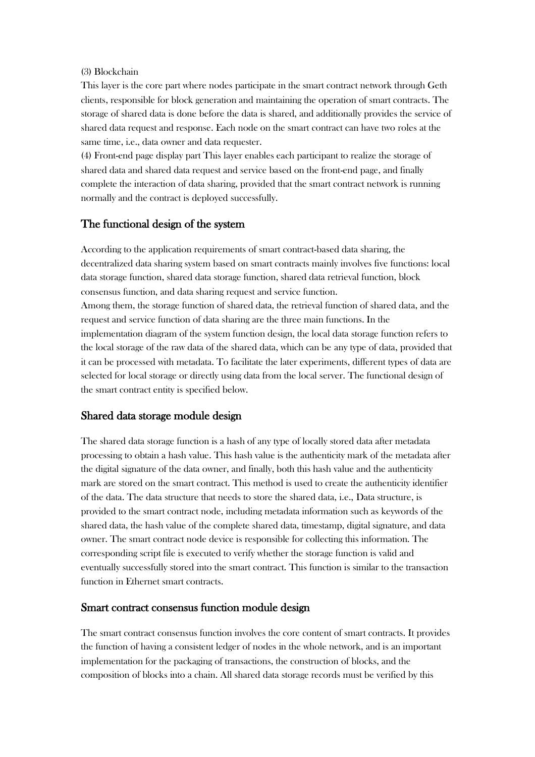#### (3) Blockchain

This layer is the core part where nodes participate in the smart contract network through Geth clients, responsible for block generation and maintaining the operation of smart contracts. The storage of shared data is done before the data is shared, and additionally provides the service of shared data request and response. Each node on the smart contract can have two roles at the same time, i.e., data owner and data requester.

(4) Front-end page display part This layer enables each participant to realize the storage of shared data and shared data request and service based on the front-end page, and finally complete the interaction of data sharing, provided that the smart contract network is running normally and the contract is deployed successfully.

### The functional design of the system

According to the application requirements of smart contract-based data sharing, the decentralized data sharing system based on smart contracts mainly involves five functions: local data storage function, shared data storage function, shared data retrieval function, block consensus function, and data sharing request and service function. Among them, the storage function of shared data, the retrieval function of shared data, and the request and service function of data sharing are the three main functions. In the implementation diagram of the system function design, the local data storage function refers to the local storage of the raw data of the shared data, which can be any type of data, provided that it can be processed with metadata. To facilitate the later experiments, different types of data are selected for local storage or directly using data from the local server. The functional design of the smart contract entity is specified below.

## Shared data storage module design

The shared data storage function is a hash of any type of locally stored data after metadata processing to obtain a hash value. This hash value is the authenticity mark of the metadata after the digital signature of the data owner, and finally, both this hash value and the authenticity mark are stored on the smart contract. This method is used to create the authenticity identifier of the data. The data structure that needs to store the shared data, i.e., Data structure, is provided to the smart contract node, including metadata information such as keywords of the shared data, the hash value of the complete shared data, timestamp, digital signature, and data owner. The smart contract node device is responsible for collecting this information. The corresponding script file is executed to verify whether the storage function is valid and eventually successfully stored into the smart contract. This function is similar to the transaction function in Ethernet smart contracts.

### Smart contract consensus function module design

The smart contract consensus function involves the core content of smart contracts. It provides the function of having a consistent ledger of nodes in the whole network, and is an important implementation for the packaging of transactions, the construction of blocks, and the composition of blocks into a chain. All shared data storage records must be verified by this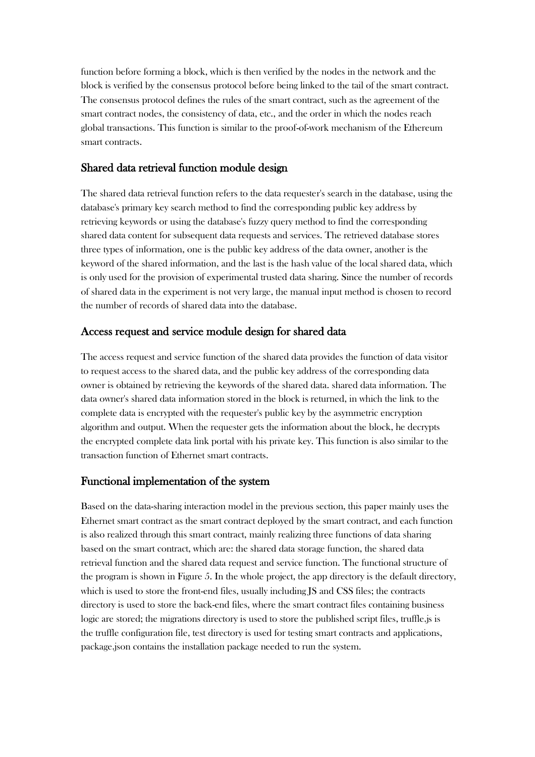function before forming a block, which is then verified by the nodes in the network and the block is verified by the consensus protocol before being linked to the tail of the smart contract. The consensus protocol defines the rules of the smart contract, such as the agreement of the smart contract nodes, the consistency of data, etc., and the order in which the nodes reach global transactions. This function is similar to the proof-of-work mechanism of the Ethereum smart contracts.

## Shared data retrieval function module design

The shared data retrieval function refers to the data requester's search in the database, using the database's primary key search method to find the corresponding public key address by retrieving keywords or using the database's fuzzy query method to find the corresponding shared data content for subsequent data requests and services. The retrieved database stores three types of information, one is the public key address of the data owner, another is the keyword of the shared information, and the last is the hash value of the local shared data, which is only used for the provision of experimental trusted data sharing. Since the number of records of shared data in the experiment is not very large, the manual input method is chosen to record the number of records of shared data into the database.

## Access request and service module design for shared data

The access request and service function of the shared data provides the function of data visitor to request access to the shared data, and the public key address of the corresponding data owner is obtained by retrieving the keywords of the shared data. shared data information. The data owner's shared data information stored in the block is returned, in which the link to the complete data is encrypted with the requester's public key by the asymmetric encryption algorithm and output. When the requester gets the information about the block, he decrypts the encrypted complete data link portal with his private key. This function is also similar to the transaction function of Ethernet smart contracts.

## Functional implementation of the system

Based on the data-sharing interaction model in the previous section, this paper mainly uses the Ethernet smart contract as the smart contract deployed by the smart contract, and each function is also realized through this smart contract, mainly realizing three functions of data sharing based on the smart contract, which are: the shared data storage function, the shared data retrieval function and the shared data request and service function. The functional structure of the program is shown in Figure 5. In the whole project, the app directory is the default directory, which is used to store the front-end files, usually including JS and CSS files; the contracts directory is used to store the back-end files, where the smart contract files containing business logic are stored; the migrations directory is used to store the published script files, truffle.js is the truffle configuration file, test directory is used for testing smart contracts and applications, package.json contains the installation package needed to run the system.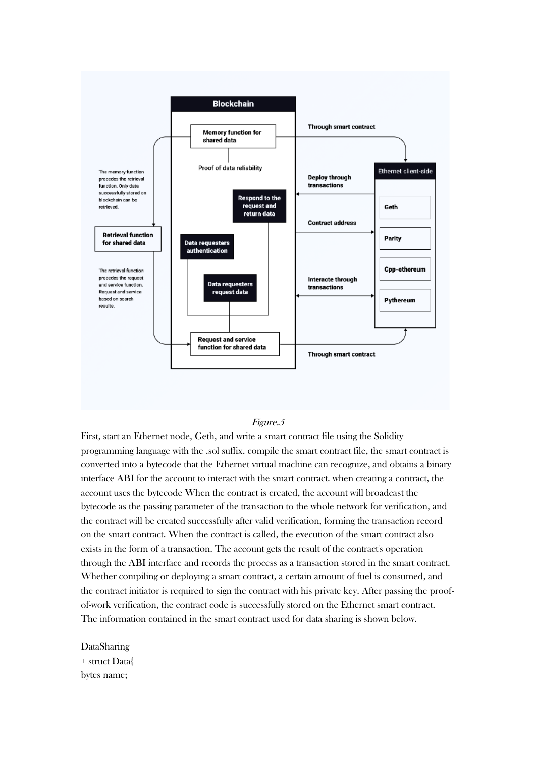

#### Figure.5

First, start an Ethernet node, Geth, and write a smart contract file using the Solidity programming language with the .sol suffix. compile the smart contract file, the smart contract is converted into a bytecode that the Ethernet virtual machine can recognize, and obtains a binary interface ABI for the account to interact with the smart contract. when creating a contract, the account uses the bytecode When the contract is created, the account will broadcast the bytecode as the passing parameter of the transaction to the whole network for verification, and the contract will be created successfully after valid verification, forming the transaction record on the smart contract. When the contract is called, the execution of the smart contract also exists in the form of a transaction. The account gets the result of the contract's operation through the ABI interface and records the process as a transaction stored in the smart contract. Whether compiling or deploying a smart contract, a certain amount of fuel is consumed, and the contract initiator is required to sign the contract with his private key. After passing the proofof-work verification, the contract code is successfully stored on the Ethernet smart contract. The information contained in the smart contract used for data sharing is shown below.

DataSharing + struct Data{ bytes name;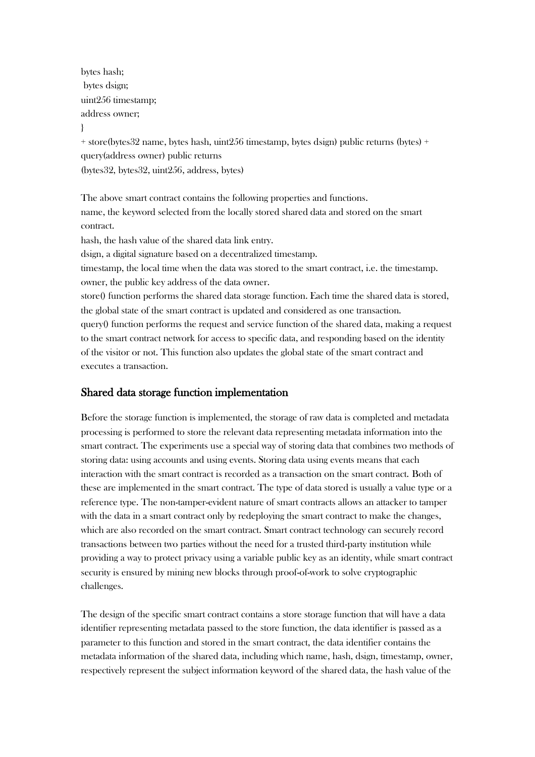bytes hash; bytes dsign; uint256 timestamp; address owner; }

+ store(bytes32 name, bytes hash, uint256 timestamp, bytes dsign) public returns (bytes) + query(address owner) public returns (bytes32, bytes32, uint256, address, bytes)

The above smart contract contains the following properties and functions. name, the keyword selected from the locally stored shared data and stored on the smart contract.

hash, the hash value of the shared data link entry.

dsign, a digital signature based on a decentralized timestamp.

timestamp, the local time when the data was stored to the smart contract, i.e. the timestamp. owner, the public key address of the data owner.

store() function performs the shared data storage function. Each time the shared data is stored, the global state of the smart contract is updated and considered as one transaction.

query() function performs the request and service function of the shared data, making a request to the smart contract network for access to specific data, and responding based on the identity of the visitor or not. This function also updates the global state of the smart contract and executes a transaction.

### Shared data storage function implementation

Before the storage function is implemented, the storage of raw data is completed and metadata processing is performed to store the relevant data representing metadata information into the smart contract. The experiments use a special way of storing data that combines two methods of storing data: using accounts and using events. Storing data using events means that each interaction with the smart contract is recorded as a transaction on the smart contract. Both of these are implemented in the smart contract. The type of data stored is usually a value type or a reference type. The non-tamper-evident nature of smart contracts allows an attacker to tamper with the data in a smart contract only by redeploying the smart contract to make the changes, which are also recorded on the smart contract. Smart contract technology can securely record transactions between two parties without the need for a trusted third-party institution while providing a way to protect privacy using a variable public key as an identity, while smart contract security is ensured by mining new blocks through proof-of-work to solve cryptographic challenges.

The design of the specific smart contract contains a store storage function that will have a data identifier representing metadata passed to the store function, the data identifier is passed as a parameter to this function and stored in the smart contract, the data identifier contains the metadata information of the shared data, including which name, hash, dsign, timestamp, owner, respectively represent the subject information keyword of the shared data, the hash value of the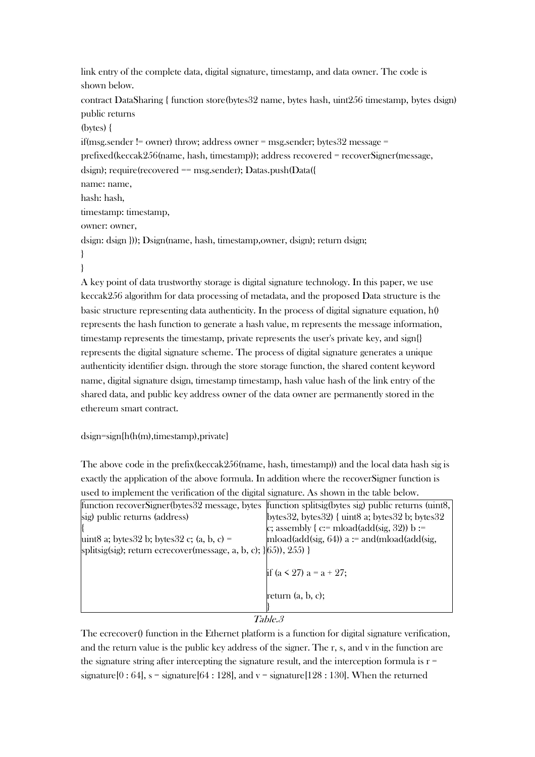link entry of the complete data, digital signature, timestamp, and data owner. The code is shown below. contract DataSharing { function store(bytes32 name, bytes hash, uint256 timestamp, bytes dsign) public returns (bytes) { if(msg.sender != owner) throw; address owner = msg.sender; bytes32 message = prefixed(keccak256(name, hash, timestamp)); address recovered = recoverSigner(message, dsign); require(recovered == msg.sender); Datas.push(Data({ name: name, hash: hash, timestamp: timestamp, owner: owner, dsign: dsign })); Dsign(name, hash, timestamp,owner, dsign); return dsign; } }

A key point of data trustworthy storage is digital signature technology. In this paper, we use keccak256 algorithm for data processing of metadata, and the proposed Data structure is the basic structure representing data authenticity. In the process of digital signature equation,  $h()$ represents the hash function to generate a hash value, m represents the message information, timestamp represents the timestamp, private represents the user's private key, and sign{} represents the digital signature scheme. The process of digital signature generates a unique authenticity identifier dsign. through the store storage function, the shared content keyword name, digital signature dsign, timestamp timestamp, hash value hash of the link entry of the shared data, and public key address owner of the data owner are permanently stored in the ethereum smart contract.

#### dsign=sign{h(h(m),timestamp),private}

The above code in the prefix(keccak256(name, hash, timestamp)) and the local data hash sig is exactly the application of the above formula. In addition where the recoverSigner function is used to implement the verification of the digital signature. As shown in the table below.

|                                                                       | function recover Signer (bytes 32 message, bytes function splitsig (bytes sig) public returns (uint8, |
|-----------------------------------------------------------------------|-------------------------------------------------------------------------------------------------------|
| sig) public returns (address)                                         | bytes $32$ , bytes $32$ ) { uint $8$ a; bytes $32$ b; bytes $32$                                      |
|                                                                       | c; assembly { $c:=$ mload(add(sig, 32)) $b:=$                                                         |
| uint8 a; bytes $32$ b; bytes $32$ c; (a, b, c) =                      | mload(add(sig, 64)) $a :=$ and(mload(add(sig,                                                         |
| splitsig(sig); return ecrecover(message, a, b, c); $(65)$ , $(255)$ } |                                                                                                       |
|                                                                       |                                                                                                       |
|                                                                       | if $(a < 27)$ a = a + 27;                                                                             |
|                                                                       |                                                                                                       |
|                                                                       | return $(a, b, c)$ ;                                                                                  |
|                                                                       |                                                                                                       |
|                                                                       | T1.0                                                                                                  |

#### Table.3

The ecrecover() function in the Ethernet platform is a function for digital signature verification, and the return value is the public key address of the signer. The r, s, and v in the function are the signature string after intercepting the signature result, and the interception formula is  $r =$ signature[0 : 64], s = signature[64 : 128], and v = signature[128 : 130]. When the returned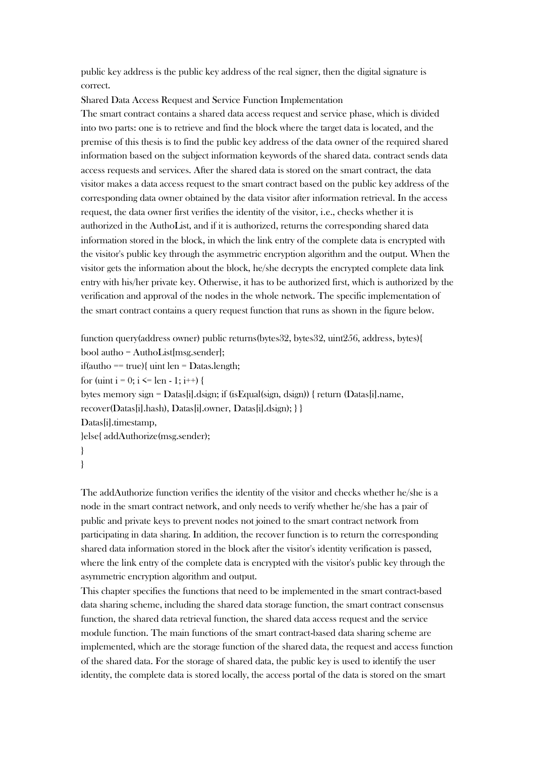public key address is the public key address of the real signer, then the digital signature is correct.

Shared Data Access Request and Service Function Implementation The smart contract contains a shared data access request and service phase, which is divided into two parts: one is to retrieve and find the block where the target data is located, and the premise of this thesis is to find the public key address of the data owner of the required shared information based on the subject information keywords of the shared data. contract sends data access requests and services. After the shared data is stored on the smart contract, the data visitor makes a data access request to the smart contract based on the public key address of the corresponding data owner obtained by the data visitor after information retrieval. In the access request, the data owner first verifies the identity of the visitor, i.e., checks whether it is authorized in the AuthoList, and if it is authorized, returns the corresponding shared data information stored in the block, in which the link entry of the complete data is encrypted with the visitor's public key through the asymmetric encryption algorithm and the output. When the visitor gets the information about the block, he/she decrypts the encrypted complete data link entry with his/her private key. Otherwise, it has to be authorized first, which is authorized by the verification and approval of the nodes in the whole network. The specific implementation of the smart contract contains a query request function that runs as shown in the figure below.

```
function query(address owner) public returns(bytes32, bytes32, uint256, address, bytes){
bool autho = AuthoList[msg.sender];
if(autho == true){ uint len = Datas.length;
for (uint i = 0; i <= len - 1; i++) {
bytes memory sign = Datas[i].dsign; if (isEqual(sign, dsign)) { return (Datas[i].name, 
recover(Datas[i].hash), Datas[i].owner, Datas[i].dsign); } }
Datas[i].timestamp,
}else{ addAuthorize(msg.sender);
}
}
```
The addAuthorize function verifies the identity of the visitor and checks whether he/she is a node in the smart contract network, and only needs to verify whether he/she has a pair of public and private keys to prevent nodes not joined to the smart contract network from participating in data sharing. In addition, the recover function is to return the corresponding shared data information stored in the block after the visitor's identity verification is passed, where the link entry of the complete data is encrypted with the visitor's public key through the asymmetric encryption algorithm and output.

This chapter specifies the functions that need to be implemented in the smart contract-based data sharing scheme, including the shared data storage function, the smart contract consensus function, the shared data retrieval function, the shared data access request and the service module function. The main functions of the smart contract-based data sharing scheme are implemented, which are the storage function of the shared data, the request and access function of the shared data. For the storage of shared data, the public key is used to identify the user identity, the complete data is stored locally, the access portal of the data is stored on the smart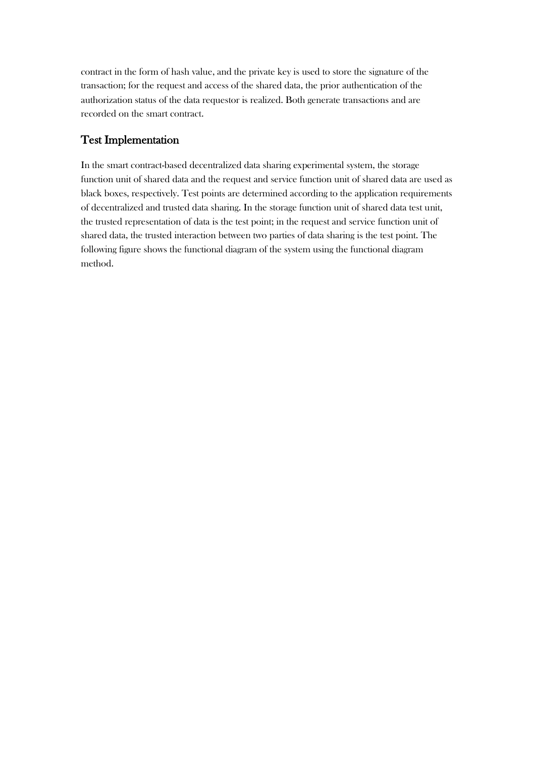contract in the form of hash value, and the private key is used to store the signature of the transaction; for the request and access of the shared data, the prior authentication of the authorization status of the data requestor is realized. Both generate transactions and are recorded on the smart contract.

## Test Implementation

In the smart contract-based decentralized data sharing experimental system, the storage function unit of shared data and the request and service function unit of shared data are used as black boxes, respectively. Test points are determined according to the application requirements of decentralized and trusted data sharing. In the storage function unit of shared data test unit, the trusted representation of data is the test point; in the request and service function unit of shared data, the trusted interaction between two parties of data sharing is the test point. The following figure shows the functional diagram of the system using the functional diagram method.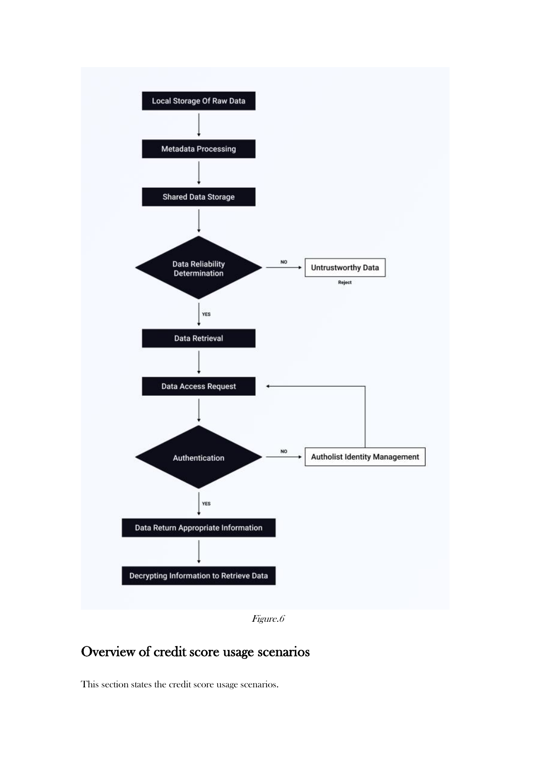

Figure.6

# Overview of credit score usage scenarios

This section states the credit score usage scenarios.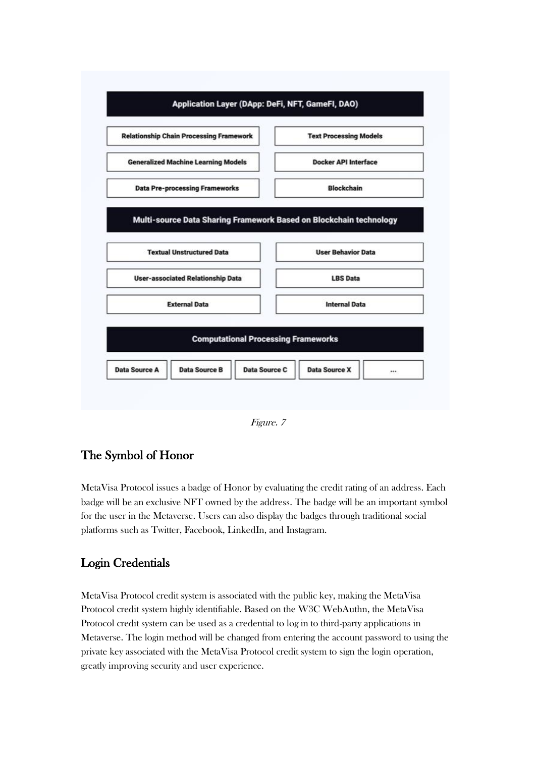

Figure. 7

# The Symbol of Honor

MetaVisa Protocol issues a badge of Honor by evaluating the credit rating of an address. Each badge will be an exclusive NFT owned by the address. The badge will be an important symbol for the user in the Metaverse. Users can also display the badges through traditional social platforms such as Twitter, Facebook, LinkedIn, and Instagram.

# Login Credentials

MetaVisa Protocol credit system is associated with the public key, making the MetaVisa Protocol credit system highly identifiable. Based on the W3C WebAuthn, the MetaVisa Protocol credit system can be used as a credential to log in to third-party applications in Metaverse. The login method will be changed from entering the account password to using the private key associated with the MetaVisa Protocol credit system to sign the login operation, greatly improving security and user experience.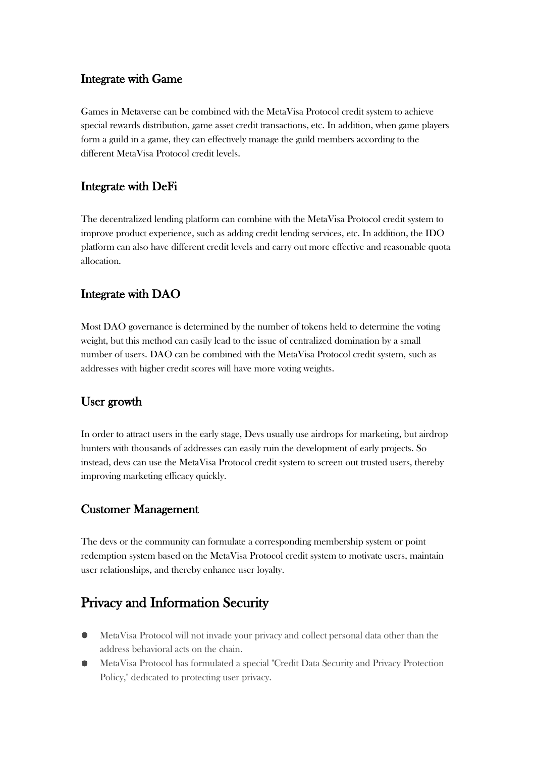# Integrate with Game

Games in Metaverse can be combined with the MetaVisa Protocol credit system to achieve special rewards distribution, game asset credit transactions, etc. In addition, when game players form a guild in a game, they can effectively manage the guild members according to the different MetaVisa Protocol credit levels.

# Integrate with DeFi

The decentralized lending platform can combine with the MetaVisa Protocol credit system to improve product experience, such as adding credit lending services, etc. In addition, the IDO platform can also have different credit levels and carry out more effective and reasonable quota allocation.

# Integrate with DAO

Most DAO governance is determined by the number of tokens held to determine the voting weight, but this method can easily lead to the issue of centralized domination by a small number of users. DAO can be combined with the MetaVisa Protocol credit system, such as addresses with higher credit scores will have more voting weights.

# User growth

In order to attract users in the early stage, Devs usually use airdrops for marketing, but airdrop hunters with thousands of addresses can easily ruin the development of early projects. So instead, devs can use the MetaVisa Protocol credit system to screen out trusted users, thereby improving marketing efficacy quickly.

# Customer Management

The devs or the community can formulate a corresponding membership system or point redemption system based on the MetaVisa Protocol credit system to motivate users, maintain user relationships, and thereby enhance user loyalty.

# Privacy and Information Security

- $\bullet$ MetaVisa Protocol will not invade your privacy and collect personal data other than the address behavioral acts on the chain.
- MetaVisa Protocol has formulated a special "Credit Data Security and Privacy Protection Policy," dedicated to protecting user privacy.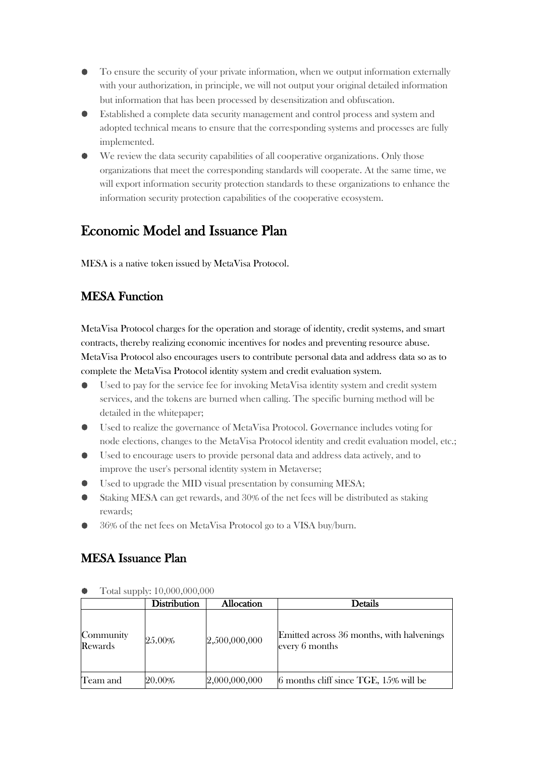- To ensure the security of your private information, when we output information externally ۰ with your authorization, in principle, we will not output your original detailed information but information that has been processed by desensitization and obfuscation.
- Established a complete data security management and control process and system and adopted technical means to ensure that the corresponding systems and processes are fully implemented.
- We review the data security capabilities of all cooperative organizations. Only those organizations that meet the corresponding standards will cooperate. At the same time, we will export information security protection standards to these organizations to enhance the information security protection capabilities of the cooperative ecosystem.

# Economic Model and Issuance Plan

MESA is a native token issued by MetaVisa Protocol.

# **MESA Function**

MetaVisa Protocol charges for the operation and storage of identity, credit systems, and smart contracts, thereby realizing economic incentives for nodes and preventing resource abuse. MetaVisa Protocol also encourages users to contribute personal data and address data so as to complete the MetaVisa Protocol identity system and credit evaluation system.

- Used to pay for the service fee for invoking MetaVisa identity system and credit system services, and the tokens are burned when calling. The specific burning method will be detailed in the whitepaper;
- Used to realize the governance of MetaVisa Protocol. Governance includes voting for  $\bullet$ node elections, changes to the MetaVisa Protocol identity and credit evaluation model, etc.;
- $\bullet$ Used to encourage users to provide personal data and address data actively, and to improve the user's personal identity system in Metaverse;
- Used to upgrade the MID visual presentation by consuming MESA;
- Staking MESA can get rewards, and 30% of the net fees will be distributed as staking rewards;
- 36% of the net fees on MetaVisa Protocol go to a VISA buy/burn.

# MESA Issuance Plan

|                      | <b>Distribution</b> | Allocation    | <b>Details</b>                                              |
|----------------------|---------------------|---------------|-------------------------------------------------------------|
| Community<br>Rewards | 25.00%              | 2,500,000,000 | Emitted across 36 months, with halvenings<br>every 6 months |
| Team and             | 20.00%              | 2,000,000,000 | $ 6$ months cliff since TGE, 15% will be                    |

Total supply: 10,000,000,000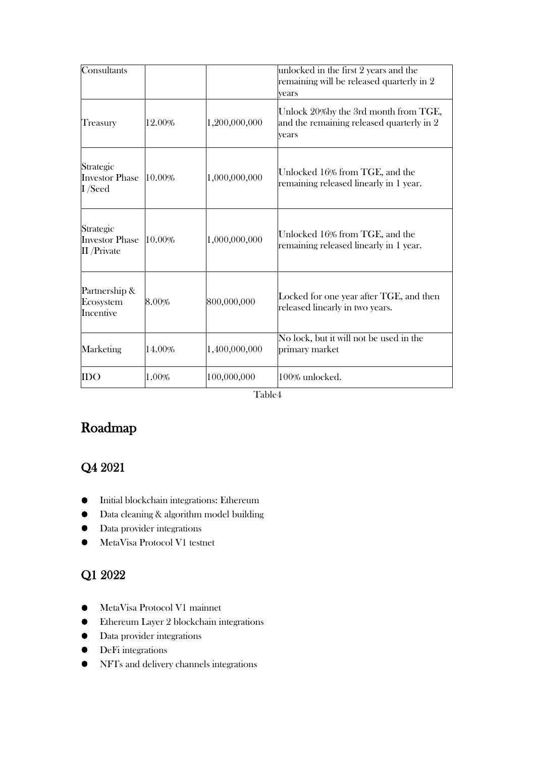| Consultants                                        |        |               | unlocked in the first 2 years and the<br>remaining will be released quarterly in 2<br>vears |
|----------------------------------------------------|--------|---------------|---------------------------------------------------------------------------------------------|
| <b>Treasury</b>                                    | 12.00% | 1,200,000,000 | Unlock 20% by the 3rd month from TGE,<br>and the remaining released quarterly in 2<br>years |
| Strategic<br><b>Investor Phase</b><br>I /Seed      | 10.00% | 1,000,000,000 | Unlocked 16% from TGE, and the<br>remaining released linearly in 1 year.                    |
| Strategic<br><b>Investor Phase</b><br>II / Private | 10.00% | 1,000,000,000 | Unlocked 16% from TGE, and the<br>remaining released linearly in 1 year.                    |
| Partnership &<br>Ecosystem<br>Incentive            | 8.00%  | 800,000,000   | Locked for one year after TGE, and then<br>released linearly in two years.                  |
| Marketing                                          | 14.00% | 1,400,000,000 | No lock, but it will not be used in the<br>primary market                                   |
| <b>IDO</b>                                         | 1.00%  | 100,000,000   | 100% unlocked.                                                                              |

Table4

# Roadmap

# Q4 2021

- $\bullet$ Initial blockchain integrations: Ethereum
- Data cleaning & algorithm model building  $\bullet$
- Data provider integrations  $\bullet$
- MetaVisa Protocol V1 testnet

# Q1 2022

- $\bullet$ MetaVisa Protocol V1 mainnet
- $\bullet$ Ethereum Layer 2 blockchain integrations
- Data provider integrations  $\bullet$
- $\bullet$ DeFi integrations
- NFTs and delivery channels integrations $\bullet$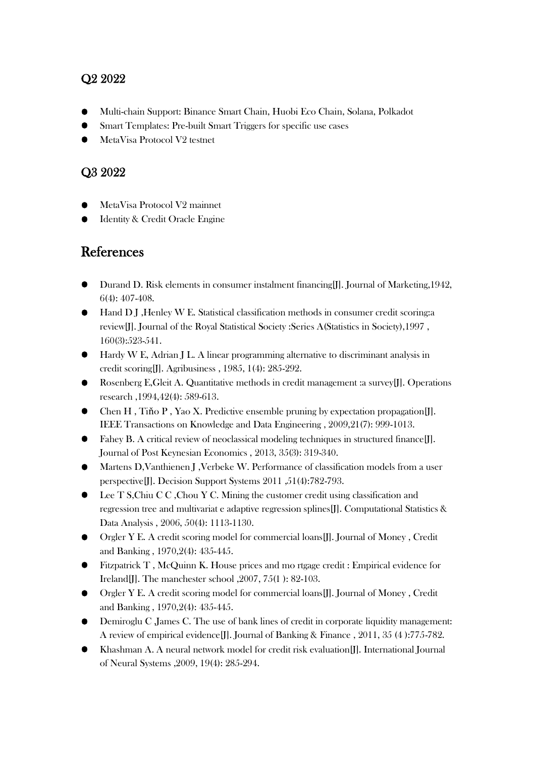# Q2 2022

- Multi-chain Support: Binance Smart Chain, Huobi Eco Chain, Solana, Polkadot
- Smart Templates: Pre-built Smart Triggers for specific use cases
- MetaVisa Protocol V2 testnet

# Q3 2022

- MetaVisa Protocol V2 mainnet
- Identity & Credit Oracle Engine

# References

- Durand D. Risk elements in consumer instalment financing[J]. Journal of Marketing,1942, 6(4): 407-408.
- Hand D J , Henley W E. Statistical classification methods in consumer credit scoring:a review[J]. Journal of the Royal Statistical Society :Series A(Statistics in Society),1997 , 160(3):523-541.
- Hardy W E, Adrian J L. A linear programming alternative to discriminant analysis in credit scoring[J]. Agribusiness , 1985, 1(4): 285-292.
- Rosenberg E,Gleit A. Quantitative methods in credit management :a survey[J]. Operations research ,1994,42(4): 589-613.
- Chen H , Tiňo P , Yao X. Predictive ensemble pruning by expectation propagation[J]. IEEE Transactions on Knowledge and Data Engineering , 2009,21(7): 999-1013.
- Fahey B. A critical review of neoclassical modeling techniques in structured finance[J]. Journal of Post Keynesian Economics , 2013, 35(3): 319-340.
- Martens D, Vanthienen J , Verbeke W. Performance of classification models from a user perspective[J]. Decision Support Systems 2011 ,51(4):782-793.
- Lee T S,Chiu C C ,Chou Y C. Mining the customer credit using classification and regression tree and multivariat e adaptive regression splines[J]. Computational Statistics & Data Analysis , 2006, 50(4): 1113-1130.
- Orgler Y E. A credit scoring model for commercial loans[J]. Journal of Money , Credit and Banking , 1970,2(4): 435-445.
- Fitzpatrick T , McQuinn K. House prices and mo rtgage credit : Empirical evidence for Ireland[J]. The manchester school ,2007, 75(1 ): 82-103.
- Orgler Y E. A credit scoring model for commercial loans[J]. Journal of Money , Credit and Banking , 1970,2(4): 435-445.
- Demiroglu C ,James C. The use of bank lines of credit in corporate liquidity management: A review of empirical evidence[J]. Journal of Banking & Finance , 2011, 35 (4 ):775-782.
- Khashman A. A neural network model for credit risk evaluation[J]. International Journal of Neural Systems ,2009, 19(4): 285-294.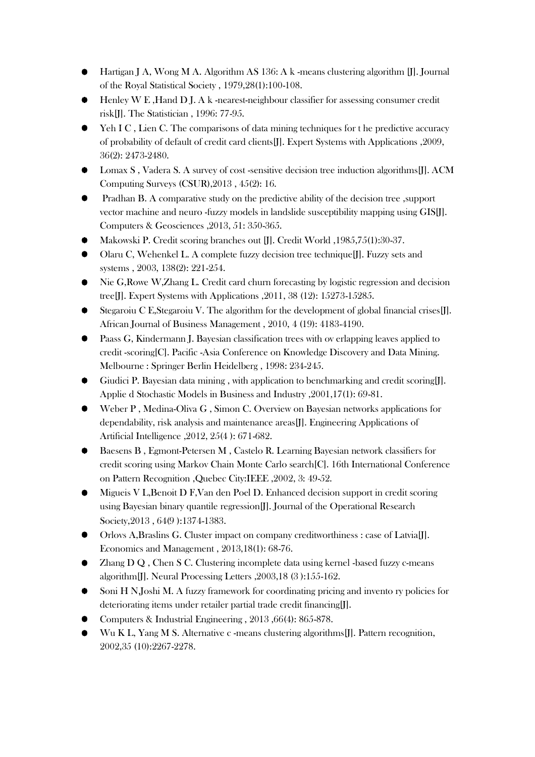- Hartigan J A, Wong M A. Algorithm AS 136: A k -means clustering algorithm [J]. Journal of the Royal Statistical Society , 1979,28(1):100-108.
- Henley W E , Hand D J. A k -nearest-neighbour classifier for assessing consumer credit risk[J]. The Statistician , 1996: 77-95.
- Yeh I C, Lien C. The comparisons of data mining techniques for the predictive accuracy of probability of default of credit card clients[J]. Expert Systems with Applications ,2009, 36(2): 2473-2480.
- Lomax S , Vadera S. A survey of cost -sensitive decision tree induction algorithms[J]. ACM Computing Surveys (CSUR),2013 , 45(2): 16.
- Pradhan B. A comparative study on the predictive ability of the decision tree ,support vector machine and neuro -fuzzy models in landslide susceptibility mapping using GIS[J]. Computers & Geosciences ,2013, 51: 350-365.
- Makowski P. Credit scoring branches out [J]. Credit World ,1985,75(1):30-37.
- Olaru C, Wehenkel L. A complete fuzzy decision tree technique[J]. Fuzzy sets and systems , 2003, 138(2): 221-254.
- Nie G,Rowe W,Zhang L. Credit card churn forecasting by logistic regression and decision tree[J]. Expert Systems with Applications ,2011, 38 (12): 15273-15285.
- Stegaroiu C E,Stegaroiu V. The algorithm for the development of global financial crises[J]. African Journal of Business Management , 2010, 4 (19): 4183-4190.
- Paass G, Kindermann J. Bayesian classification trees with ov erlapping leaves applied to credit -scoring[C]. Pacific -Asia Conference on Knowledge Discovery and Data Mining. Melbourne : Springer Berlin Heidelberg , 1998: 234-245.
- Giudici P. Bayesian data mining , with application to benchmarking and credit scoring[J]. Applie d Stochastic Models in Business and Industry ,2001,17(1): 69-81.
- Weber P , Medina-Oliva G , Simon C. Overview on Bayesian networks applications for dependability, risk analysis and maintenance areas[J]. Engineering Applications of Artificial Intelligence ,2012, 25(4 ): 671-682.
- Baesens B , Egmont-Petersen M , Castelo R. Learning Bayesian network classifiers for credit scoring using Markov Chain Monte Carlo search[C]. 16th International Conference on Pattern Recognition ,Quebec City:IEEE ,2002, 3: 49-52.
- Migueis V L,Benoit D F,Van den Poel D. Enhanced decision support in credit scoring using Bayesian binary quantile regression[J]. Journal of the Operational Research Society,2013 , 64(9 ):1374-1383.
- Orlovs A,Braslins G. Cluster impact on company creditworthiness : case of Latvia[J]. Economics and Management , 2013,18(1): 68-76.
- Zhang D Q , Chen S C. Clustering incomplete data using kernel -based fuzzy c-means algorithm[J]. Neural Processing Letters ,2003,18 (3 ):155-162.
- Soni H N,Joshi M. A fuzzy framework for coordinating pricing and invento ry policies for deteriorating items under retailer partial trade credit financing[J].
- Computers & Industrial Engineering , 2013 ,66(4): 865-878.
- Wu K L, Yang M S. Alternative c -means clustering algorithms [J]. Pattern recognition, 2002,35 (10):2267-2278.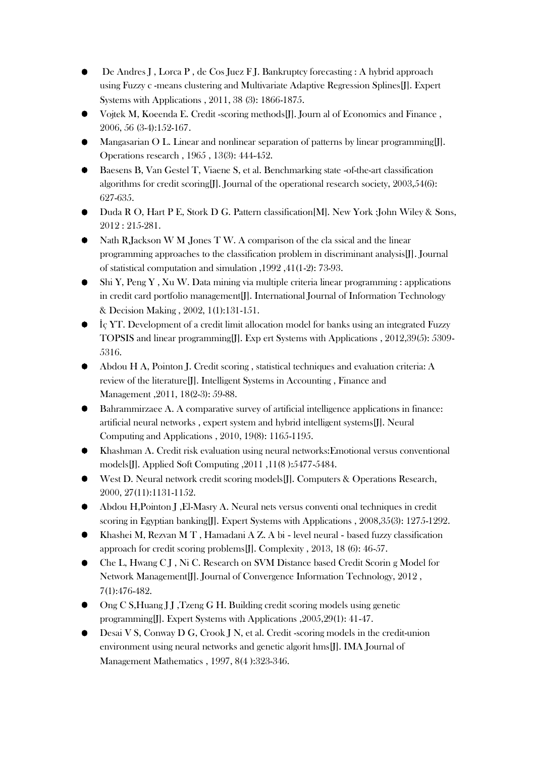- De Andres J , Lorca P , de Cos Juez F J. Bankruptcy forecasting : A hybrid approach using Fuzzy c -means clustering and Multivariate Adaptive Regression Splines[J]. Expert Systems with Applications , 2011, 38 (3): 1866-1875.
- Vojtek M, Koeenda E. Credit -scoring methods[J]. Journ al of Economics and Finance , 2006, 56 (3-4):152-167.
- Mangasarian O L. Linear and nonlinear separation of patterns by linear programming[J]. Operations research , 1965 , 13(3): 444-452.
- Baesens B, Van Gestel T, Viaene S, et al. Benchmarking state -of-the-art classification algorithms for credit scoring[J]. Journal of the operational research society, 2003,54(6): 627-635.
- Duda R O, Hart P E, Stork D G. Pattern classification[M]. New York :John Wiley & Sons, 2012 : 215-281.
- Nath R,Jackson W M ,Jones T W. A comparison of the cla ssical and the linear programming approaches to the classification problem in discriminant analysis[J]. Journal of statistical computation and simulation ,1992 ,41(1-2): 73-93.
- Shi Y, Peng Y , Xu W. Data mining via multiple criteria linear programming : applications in credit card portfolio management[J]. International Journal of Information Technology & Decision Making , 2002, 1(1):131-151.
- İç YT. Development of a credit limit allocation model for banks using an integrated Fuzzy TOPSIS and linear programming[J]. Exp ert Systems with Applications , 2012,39(5): 5309- 5316.
- Abdou H A, Pointon J. Credit scoring , statistical techniques and evaluation criteria: A review of the literature[J]. Intelligent Systems in Accounting , Finance and Management ,2011, 18(2-3): 59-88.
- Bahrammirzaee A. A comparative survey of artificial intelligence applications in finance: artificial neural networks , expert system and hybrid intelligent systems[J]. Neural Computing and Applications , 2010, 19(8): 1165-1195.
- Khashman A. Credit risk evaluation using neural networks:Emotional versus conventional models[J]. Applied Soft Computing ,2011 ,11(8 ):5477-5484.
- West D. Neural network credit scoring models II. Computers & Operations Research, 2000, 27(11):1131-1152.
- Abdou H,Pointon J ,El-Masry A. Neural nets versus conventi onal techniques in credit scoring in Egyptian banking[J]. Expert Systems with Applications , 2008,35(3): 1275-1292.
- Khashei M, Rezvan M T , Hamadani A Z. A bi ‐ level neural ‐ based fuzzy classification approach for credit scoring problems[J]. Complexity , 2013, 18 (6): 46-57.
- Che L, Hwang C J , Ni C. Research on SVM Distance based Credit Scorin g Model for Network Management[J]. Journal of Convergence Information Technology, 2012 , 7(1):476-482.
- Ong C S, Huang J J, Tzeng G H. Building credit scoring models using genetic programming[J]. Expert Systems with Applications ,2005,29(1): 41-47.
- Desai V S, Conway D G, Crook J N, et al. Credit -scoring models in the credit-union environment using neural networks and genetic algorit hms[J]. IMA Journal of Management Mathematics , 1997, 8(4 ):323-346.